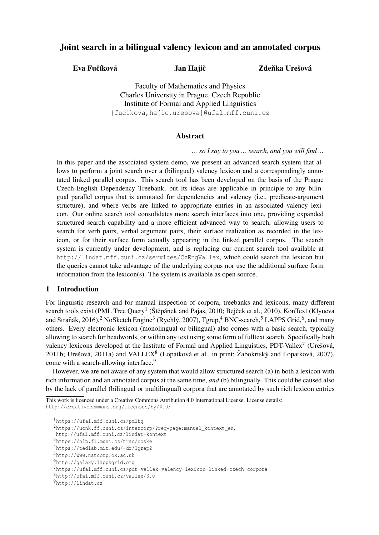## Joint search in a bilingual valency lexicon and an annotated corpus

Eva Fučíková Jan Hajič

Zdeňka Urešová

Faculty of Mathematics and Physics Charles University in Prague, Czech Republic Institute of Formal and Applied Linguistics {fucikova,hajic,uresova}@ufal.mff.cuni.cz

### Abstract

*... so I say to you ... search, and you will find ...*

In this paper and the associated system demo, we present an advanced search system that allows to perform a joint search over a (bilingual) valency lexicon and a correspondingly annotated linked parallel corpus. This search tool has been developed on the basis of the Prague Czech-English Dependency Treebank, but its ideas are applicable in principle to any bilingual parallel corpus that is annotated for dependencies and valency (i.e., predicate-argument structure), and where verbs are linked to appropriate entries in an associated valency lexicon. Our online search tool consolidates more search interfaces into one, providing expanded structured search capability and a more efficient advanced way to search, allowing users to search for verb pairs, verbal argument pairs, their surface realization as recorded in the lexicon, or for their surface form actually appearing in the linked parallel corpus. The search system is currently under development, and is replacing our current search tool available at http://lindat.mff.cuni.cz/services/CzEngVallex, which could search the lexicon but the queries cannot take advantage of the underlying corpus nor use the additional surface form information from the lexicon(s). The system is available as open source.

### 1 Introduction

For linguistic research and for manual inspection of corpora, treebanks and lexicons, many different search tools exist (PML Tree Query<sup>1</sup> (Štěpánek and Pajas, 2010; Bejček et al., 2010), KonText (Klyueva and Straňák, 2016),<sup>2</sup> NoSketch Engine<sup>3</sup> (Rychlý, 2007), Tgrep,<sup>4</sup> BNC-search,<sup>5</sup> LAPPS Grid,<sup>6</sup>, and many others. Every electronic lexicon (monolingual or bilingual) also comes with a basic search, typically allowing to search for headwords, or within any text using some form of fulltext search. Specifically both valency lexicons developed at the Institute of Formal and Applied Linguistics, PDT-Vallex<sup>7</sup> (Urešová, 2011b; Urešová, 2011a) and VALLEX<sup>8</sup> (Lopatková et al., in print; Žabokrtský and Lopatková, 2007), come with a search-allowing interface.<sup>9</sup>

However, we are not aware of any system that would allow structured search (a) in both a lexicon with rich information and an annotated corpus at the same time, *and* (b) bilingually. This could be caused also by the lack of parallel (bilingual or multilingual) corpora that are annotated by such rich lexicon entries

This work is licenced under a Creative Commons Attribution 4.0 International License. License details: http://creativecommons.org/licenses/by/4.0/

<sup>1</sup>https://ufal.mff.cuni.cz/pmltq <sup>2</sup>https://ucnk.ff.cuni.cz/intercorp/?req=page:manual\_kontext\_en, http://ufal.mff.cuni.cz/lindat-kontext <sup>3</sup>https://nlp.fi.muni.cz/trac/noske <sup>4</sup>https://tedlab.mit.edu/~dr/Tgrep2 <sup>5</sup>http://www.natcorp.ox.ac.uk <sup>6</sup>http://galaxy.lappsgrid.org <sup>7</sup>https://ufal.mff.cuni.cz/pdt-vallex-valency-lexicon-linked-czech-corpora <sup>8</sup>http://ufal.mff.cuni.cz/vallex/3.0 <sup>9</sup>http://lindat.cz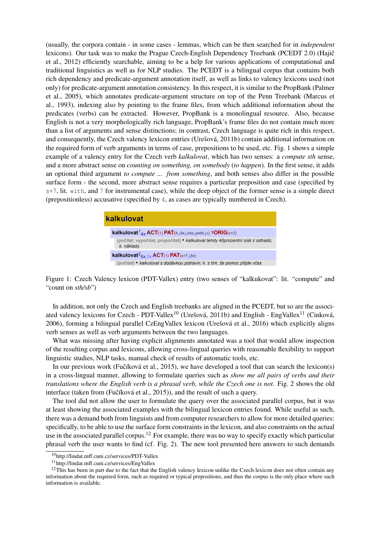(usually, the corpora contain - in some cases - lemmas, which can be then searched for in *independent* lexicons). Our task was to make the Prague Czech-English Dependency Treebank (PCEDT 2.0) (Hajič et al., 2012) efficiently searchable, aiming to be a help for various applications of computational and traditional linguistics as well as for NLP studies. The PCEDT is a bilingual corpus that contains both rich dependency and predicate-argument annotation itself, as well as links to valency lexicons used (not only) for predicate-argument annotation consistency. In this respect, it is similar to the PropBank (Palmer et al., 2005), which annotates predicate-argument structure on top of the Penn Treebank (Marcus et al., 1993), indexing also by pointing to the frame files, from which additional information about the predicates (verbs) can be extracted. However, PropBank is a monolingual resource. Also, because English is not a very morphologically rich language, PropBank's frame files do not contain much more than a list of arguments and sense distinctions; in contrast, Czech language is quite rich in this respect, and consequently, the Czech valency lexicon entries (Urešová, 2011b) contain additional information on the required form of verb arguments in terms of case, prepositions to be used, etc. Fig. 1 shows a simple example of a valency entry for the Czech verb *kalkulovat*, which has two senses: a *compute sth* sense, and a more abstract sense on *counting on something, on somebody* (*to happen*). In the first sense, it adds an optional third argument *to compute ... from something*, and both senses also differ in the possible surface form - the second, more abstract sense requires a particular preposition and case (specified by s+7, lit. with, and 7 for instrumental case), while the deep object of the former sense is a simple direct (prepositionless) accusative (specified by 4, as cases are typically numbered in Czech).

# kalkulovat **kalkulovat**<sup>1</sup><sub>4x</sub> ACT(1) PAT(4; $\downarrow \check{z}$ e; $\downarrow$ zda; $\downarrow \downarrow$ iestli; $\downarrow$ c) ?ORIG(z+2) (počítat, vypočítat, propočítat) • kalkuloval tehdy 40procentní zisk z odhadů; k. náklady kalkulovat ${}^2_{6x, 1x}$ ACT(1) PAT(s+7; $\downarrow$ že) (počítat) • kalkuloval s dodávkou potravin; k. s tím, že pomoc přijde včas

Figure 1: Czech Valency lexicon (PDT-Vallex) entry (two senses of "kalkukovat": lit. "compute" and "count on *sth/sb*")

In addition, not only the Czech and English treebanks are aligned in the PCEDT, but so are the associated valency lexicons for Czech - PDT-Vallex<sup>10</sup> (Urešová, 2011b) and English - EngVallex<sup>11</sup> (Cinková, 2006), forming a bilingual parallel CzEngVallex lexicon (Urešová et al., 2016) which explicitly aligns verb senses as well as verb arguments between the two languages.

What was missing after having explicit alignments annotated was a tool that would allow inspection of the resulting corpus and lexicons, allowing cross-lingual queries with reasonable flexibility to support linguistic studies, NLP tasks, manual check of results of automatic tools, etc.

In our previous work (Fučíková et al., 2015), we have developed a tool that can search the lexicon(s) in a cross-lingual manner, allowing to formulate queries such as *show me all pairs of verbs and their translations where the English verb is a phrasal verb, while the Czech one is not.* Fig. 2 shows the old interface (taken from (Fučíková et al.,  $2015$ )), and the result of such a query.

The tool did not allow the user to formulate the query over the associated parallel corpus, but it was at least showing the associated examples with the bilingual lexicon entries found. While useful as such, there was a demand both from linguists and from computer researchers to allow for more detailed queries: specifically, to be able to use the surface form constraints in the lexicon, and also constraints on the actual use in the associated parallel corpus.<sup>12</sup> For example, there was no way to specify exactly which particular phrasal verb the user wants to find (cf. Fig. 2). The new tool presented here answers to such demands

<sup>10</sup>http://lindat.mff.cuni.cz/services/PDT-Vallex

<sup>11</sup>http://lindat.mff.cuni.cz/services/EngVallex

 $12$ This has been in part due to the fact that the English valency lexicon unlike the Czech lexicon does not often contain any information about the required form, such as required or typical prepositions, and thus the corpus is the only place where such information is available.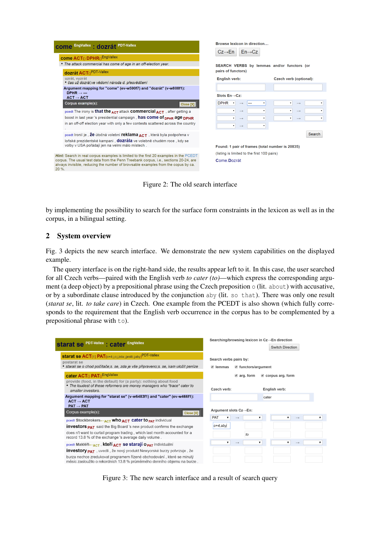

Figure 2: The old search interface

by implementing the possibility to search for the surface form constraints in the lexicon as well as in the corpus, in a bilingual setting.

## 2 System overview

Fig. 3 depicts the new search interface. We demonstrate the new system capabilities on the displayed example.

The query interface is on the right-hand side, the results appear left to it. In this case, the user searched for all Czech verbs—paired with the English verb *to cater (to)*—which express the corresponding argument (a deep object) by a prepositional phrase using the Czech preposition  $\circ$  (lit. about) with accusative, or by a subordinate clause introduced by the conjunction aby (lit. so that). There was only one result (*starat se*, lit. *to take care*) in Czech. One example from the PCEDT is also shown (which fully corresponds to the requirement that the English verb occurrence in the corpus has to be complemented by a prepositional phrase with to).

| Switch Direction<br>starat se ACT(1) PAT(0+4;1c;1zda;1jestli;1aby) <sup>PDT-Vallex</sup><br>Search verbs pairs by:<br>postarat se<br>• starali se o chod počítače; s. se, zda je vše připraveno; s. se, kam uložit peníze<br>■ functors/argument<br>$\blacksquare$ lemmas<br>cater ACT() PAT() <sup>EngVallex</sup><br>$\triangle$ arg. form<br>$\blacksquare$ corpus arg. form<br>provide (food, in the default) for (a party): nothing about food<br>• The loudest of these reformers are money managers who *trace* cater to<br>Czech verb:<br>English verb:<br>smaller investors.<br>Argument mapping for "starat se" (v-w6483f1) and "cater" (ev-w466f1):<br>cater<br>$ACT \rightarrow ACT$<br>$PAT \rightarrow PAT$<br>Argument slots Cz→En:<br>Corpus example(s):<br>Close [X]<br>PAT<br>$\overline{\mathbf{v}}$<br>▼<br>▼<br>$\longrightarrow$<br>pcedt Stockbrokers←ACT WhO ACT Cater to <sub>PAT</sub> individual<br>$o+4$ , aby<br><b>investors <sub>PAT</sub></b> said the Big Board 's new product confirms the exchange<br>does n't want to curtail program trading, which last month accounted for a<br>to<br>record 13.8 % of the exchange 's average daily volume.<br>۷.<br>۷.<br>$\mathbf{v}$<br>$\rightarrow$<br>$\rightarrow$<br>pcedt Makléři—ACT, kteří ACT Se starají O <sub>PAT</sub> individuální<br><b>investory <sub>PAT</sub></b> , uvedli , že nový produkt Newyorské burzy potvrzuje , že<br>burza nechce zredukovat programem řízené obchodování, které se minulý<br>měsíc zasloužilo o rekordních 13.8 % průměrného denního objemu na burze. | starat se PDT-Vallex : cater EngVallex | Searching/browsing lexicon in Cz→En direction |   |
|------------------------------------------------------------------------------------------------------------------------------------------------------------------------------------------------------------------------------------------------------------------------------------------------------------------------------------------------------------------------------------------------------------------------------------------------------------------------------------------------------------------------------------------------------------------------------------------------------------------------------------------------------------------------------------------------------------------------------------------------------------------------------------------------------------------------------------------------------------------------------------------------------------------------------------------------------------------------------------------------------------------------------------------------------------------------------------------------------------------------------------------------------------------------------------------------------------------------------------------------------------------------------------------------------------------------------------------------------------------------------------------------------------------------------------------------------------------------------------------------------------------------------------------------------------------------------|----------------------------------------|-----------------------------------------------|---|
|                                                                                                                                                                                                                                                                                                                                                                                                                                                                                                                                                                                                                                                                                                                                                                                                                                                                                                                                                                                                                                                                                                                                                                                                                                                                                                                                                                                                                                                                                                                                                                              |                                        |                                               |   |
|                                                                                                                                                                                                                                                                                                                                                                                                                                                                                                                                                                                                                                                                                                                                                                                                                                                                                                                                                                                                                                                                                                                                                                                                                                                                                                                                                                                                                                                                                                                                                                              |                                        |                                               |   |
|                                                                                                                                                                                                                                                                                                                                                                                                                                                                                                                                                                                                                                                                                                                                                                                                                                                                                                                                                                                                                                                                                                                                                                                                                                                                                                                                                                                                                                                                                                                                                                              |                                        |                                               |   |
|                                                                                                                                                                                                                                                                                                                                                                                                                                                                                                                                                                                                                                                                                                                                                                                                                                                                                                                                                                                                                                                                                                                                                                                                                                                                                                                                                                                                                                                                                                                                                                              |                                        |                                               |   |
|                                                                                                                                                                                                                                                                                                                                                                                                                                                                                                                                                                                                                                                                                                                                                                                                                                                                                                                                                                                                                                                                                                                                                                                                                                                                                                                                                                                                                                                                                                                                                                              |                                        |                                               | ▼ |
|                                                                                                                                                                                                                                                                                                                                                                                                                                                                                                                                                                                                                                                                                                                                                                                                                                                                                                                                                                                                                                                                                                                                                                                                                                                                                                                                                                                                                                                                                                                                                                              |                                        |                                               |   |
|                                                                                                                                                                                                                                                                                                                                                                                                                                                                                                                                                                                                                                                                                                                                                                                                                                                                                                                                                                                                                                                                                                                                                                                                                                                                                                                                                                                                                                                                                                                                                                              |                                        |                                               |   |
|                                                                                                                                                                                                                                                                                                                                                                                                                                                                                                                                                                                                                                                                                                                                                                                                                                                                                                                                                                                                                                                                                                                                                                                                                                                                                                                                                                                                                                                                                                                                                                              |                                        |                                               | ▼ |
|                                                                                                                                                                                                                                                                                                                                                                                                                                                                                                                                                                                                                                                                                                                                                                                                                                                                                                                                                                                                                                                                                                                                                                                                                                                                                                                                                                                                                                                                                                                                                                              |                                        |                                               |   |
|                                                                                                                                                                                                                                                                                                                                                                                                                                                                                                                                                                                                                                                                                                                                                                                                                                                                                                                                                                                                                                                                                                                                                                                                                                                                                                                                                                                                                                                                                                                                                                              |                                        |                                               |   |

Figure 3: The new search interface and a result of search query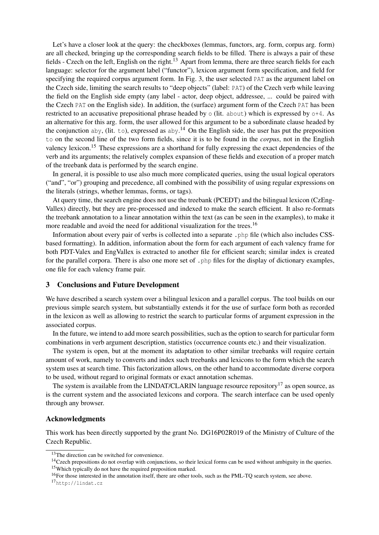Let's have a closer look at the query: the checkboxes (lemmas, functors, arg. form, corpus arg. form) are all checked, bringing up the corresponding search fields to be filled. There is always a pair of these fields - Czech on the left, English on the right.<sup>13</sup> Apart from lemma, there are three search fields for each language: selector for the argument label ("functor"), lexicon argument form specification, and field for specifying the required corpus argument form. In Fig. 3, the user selected PAT as the argument label on the Czech side, limiting the search results to "deep objects" (label: PAT) of the Czech verb while leaving the field on the English side empty (any label - actor, deep object, addressee, ... could be paired with the Czech PAT on the English side). In addition, the (surface) argument form of the Czech PAT has been restricted to an accusative prepositional phrase headed by o (lit. about) which is expressed by o+4. As an alternative for this arg. form, the user allowed for this argument to be a subordinate clause headed by the conjunction aby, (lit. to), expressed as  $aby<sup>14</sup>$  On the English side, the user has put the preposition to on the second line of the two form fields, since it is to be found in the *corpus*, not in the English valency lexicon.<sup>15</sup> These expressions are a shorthand for fully expressing the exact dependencies of the verb and its arguments; the relatively complex expansion of these fields and execution of a proper match of the treebank data is performed by the search engine.

In general, it is possible to use also much more complicated queries, using the usual logical operators ("and", "or") grouping and precedence, all combined with the possibility of using regular expressions on the literals (strings, whether lemmas, forms, or tags).

At query time, the search engine does not use the treebank (PCEDT) and the bilingual lexicon (CzEng-Vallex) directly, but they are pre-processed and indexed to make the search efficient. It also re-formats the treebank annotation to a linear annotation within the text (as can be seen in the examples), to make it more readable and avoid the need for additional visualization for the trees.<sup>16</sup>

Information about every pair of verbs is collected into a separate .php file (which also includes CSSbased formatting). In addition, information about the form for each argument of each valency frame for both PDT-Valex and EngVallex is extracted to another file for efficient search; similar index is created for the parallel corpora. There is also one more set of . php files for the display of dictionary examples, one file for each valency frame pair.

#### 3 Conclusions and Future Development

We have described a search system over a bilingual lexicon and a parallel corpus. The tool builds on our previous simple search system, but substantially extends it for the use of surface form both as recorded in the lexicon as well as allowing to restrict the search to particular forms of argument expression in the associated corpus.

In the future, we intend to add more search possibilities, such as the option to search for particular form combinations in verb argument description, statistics (occurrence counts etc.) and their visualization.

The system is open, but at the moment its adaptation to other similar treebanks will require certain amount of work, namely to converts and index such treebanks and lexicons to the form which the search system uses at search time. This factorization allows, on the other hand to accommodate diverse corpora to be used, without regard to original formats or exact annotation schemas.

The system is available from the LINDAT/CLARIN language resource repository<sup>17</sup> as open source, as is the current system and the associated lexicons and corpora. The search interface can be used openly through any browser.

### Acknowledgments

This work has been directly supported by the grant No. DG16P02R019 of the Ministry of Culture of the Czech Republic.

<sup>&</sup>lt;sup>13</sup>The direction can be switched for convenience.

<sup>&</sup>lt;sup>14</sup>Czech prepositions do not overlap with conjunctions, so their lexical forms can be used without ambiguity in the queries. <sup>15</sup>Which typically do not have the required preposition marked.

<sup>&</sup>lt;sup>16</sup>For those interested in the annotation itself, there are other tools, such as the PML-TQ search system, see above.

<sup>17</sup>http://lindat.cz